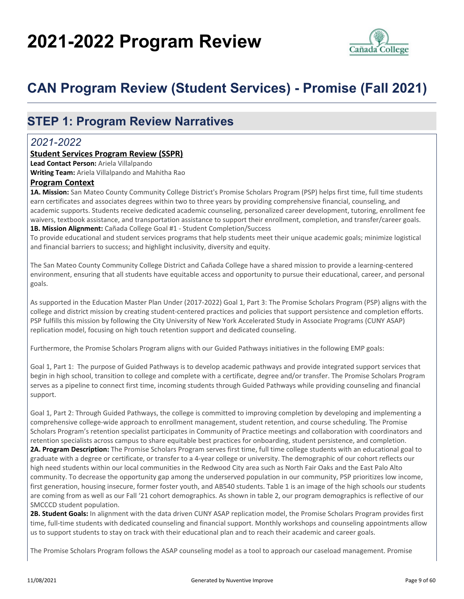# **2021-2022 Program Review**



## **CAN Program Review (Student Services) - Promise (Fall 2021)**

### **STEP 1: Program Review Narratives**

### *2021-2022*

### **Student Services Program Review (SSPR)**

**Lead Contact Person:** Ariela Villalpando **Writing Team:** Ariela Villalpando and Mahitha Rao

### **Program Context**

**1A. Mission:** San Mateo County Community College District's Promise Scholars Program (PSP) helps first time, full time students earn certificates and associates degrees within two to three years by providing comprehensive financial, counseling, and academic supports. Students receive dedicated academic counseling, personalized career development, tutoring, enrollment fee waivers, textbook assistance, and transportation assistance to support their enrollment, completion, and transfer/career goals. **1B. Mission Alignment:** Cañada College Goal #1 - Student Completion/Success

To provide educational and student services programs that help students meet their unique academic goals; minimize logistical and financial barriers to success; and highlight inclusivity, diversity and equity.

The San Mateo County Community College District and Cañada College have a shared mission to provide a learning-centered environment, ensuring that all students have equitable access and opportunity to pursue their educational, career, and personal goals.

As supported in the Education Master Plan Under (2017-2022) Goal 1, Part 3: The Promise Scholars Program (PSP) aligns with the college and district mission by creating student-centered practices and policies that support persistence and completion efforts. PSP fulfills this mission by following the City University of New York Accelerated Study in Associate Programs (CUNY ASAP) replication model, focusing on high touch retention support and dedicated counseling.

Furthermore, the Promise Scholars Program aligns with our Guided Pathways initiatives in the following EMP goals:

Goal 1, Part 1: The purpose of Guided Pathways is to develop academic pathways and provide integrated support services that begin in high school, transition to college and complete with a certificate, degree and/or transfer. The Promise Scholars Program serves as a pipeline to connect first time, incoming students through Guided Pathways while providing counseling and financial support.

Goal 1, Part 2: Through Guided Pathways, the college is committed to improving completion by developing and implementing a comprehensive college-wide approach to enrollment management, student retention, and course scheduling. The Promise Scholars Program's retention specialist participates in Community of Practice meetings and collaboration with coordinators and retention specialists across campus to share equitable best practices for onboarding, student persistence, and completion. **2A. Program Description:** The Promise Scholars Program serves first time, full time college students with an educational goal to graduate with a degree or certificate, or transfer to a 4-year college or university. The demographic of our cohort reflects our high need students within our local communities in the Redwood City area such as North Fair Oaks and the East Palo Alto community. To decrease the opportunity gap among the underserved population in our community, PSP prioritizes low income, first generation, housing insecure, former foster youth, and AB540 students. Table 1 is an image of the high schools our students are coming from as well as our Fall '21 cohort demographics. As shown in table 2, our program demographics is reflective of our SMCCCD student population.

**2B. Student Goals:** In alignment with the data driven CUNY ASAP replication model, the Promise Scholars Program provides first time, full-time students with dedicated counseling and financial support. Monthly workshops and counseling appointments allow us to support students to stay on track with their educational plan and to reach their academic and career goals.

The Promise Scholars Program follows the ASAP counseling model as a tool to approach our caseload management. Promise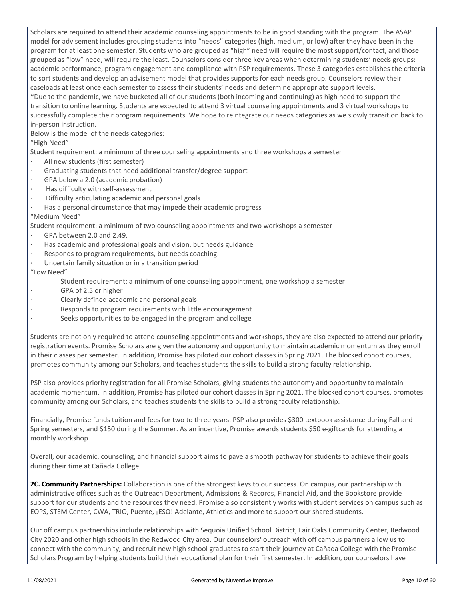Scholars are required to attend their academic counseling appointments to be in good standing with the program. The ASAP model for advisement includes grouping students into "needs" categories (high, medium, or low) after they have been in the program for at least one semester. Students who are grouped as "high" need will require the most support/contact, and those grouped as "low" need, will require the least. Counselors consider three key areas when determining students' needs groups: academic performance, program engagement and compliance with PSP requirements. These 3 categories establishes the criteria to sort students and develop an advisement model that provides supports for each needs group. Counselors review their caseloads at least once each semester to assess their students' needs and determine appropriate support levels. \*Due to the pandemic, we have bucketed all of our students (both incoming and continuing) as high need to support the

transition to online learning. Students are expected to attend 3 virtual counseling appointments and 3 virtual workshops to successfully complete their program requirements. We hope to reintegrate our needs categories as we slowly transition back to in-person instruction.

### Below is the model of the needs categories:

"High Need"

Student requirement: a minimum of three counseling appointments and three workshops a semester

- All new students (first semester)
- Graduating students that need additional transfer/degree support
- GPA below a 2.0 (academic probation)
- · Has difficulty with self-assessment
- Difficulty articulating academic and personal goals
- Has a personal circumstance that may impede their academic progress

### "Medium Need"

Student requirement: a minimum of two counseling appointments and two workshops a semester

- GPA between 2.0 and 2.49.
- Has academic and professional goals and vision, but needs guidance
- · Responds to program requirements, but needs coaching.
- Uncertain family situation or in a transition period

### "Low Need"

- Student requirement: a minimum of one counseling appointment, one workshop a semester
- GPA of 2.5 or higher
- · Clearly defined academic and personal goals
- Responds to program requirements with little encouragement
- Seeks opportunities to be engaged in the program and college

Students are not only required to attend counseling appointments and workshops, they are also expected to attend our priority registration events. Promise Scholars are given the autonomy and opportunity to maintain academic momentum as they enroll in their classes per semester. In addition, Promise has piloted our cohort classes in Spring 2021. The blocked cohort courses, promotes community among our Scholars, and teaches students the skills to build a strong faculty relationship.

PSP also provides priority registration for all Promise Scholars, giving students the autonomy and opportunity to maintain academic momentum. In addition, Promise has piloted our cohort classes in Spring 2021. The blocked cohort courses, promotes community among our Scholars, and teaches students the skills to build a strong faculty relationship.

Financially, Promise funds tuition and fees for two to three years. PSP also provides \$300 textbook assistance during Fall and Spring semesters, and \$150 during the Summer. As an incentive, Promise awards students \$50 e-giftcards for attending a monthly workshop.

Overall, our academic, counseling, and financial support aims to pave a smooth pathway for students to achieve their goals during their time at Cañada College.

**2C. Community Partnerships:** Collaboration is one of the strongest keys to our success. On campus, our partnership with administrative offices such as the Outreach Department, Admissions & Records, Financial Aid, and the Bookstore provide support for our students and the resources they need. Promise also consistently works with student services on campus such as EOPS, STEM Center, CWA, TRIO, Puente, ¡ESO! Adelante, Athletics and more to support our shared students.

Our off campus partnerships include relationships with Sequoia Unified School District, Fair Oaks Community Center, Redwood City 2020 and other high schools in the Redwood City area. Our counselors' outreach with off campus partners allow us to connect with the community, and recruit new high school graduates to start their journey at Cañada College with the Promise Scholars Program by helping students build their educational plan for their first semester. In addition, our counselors have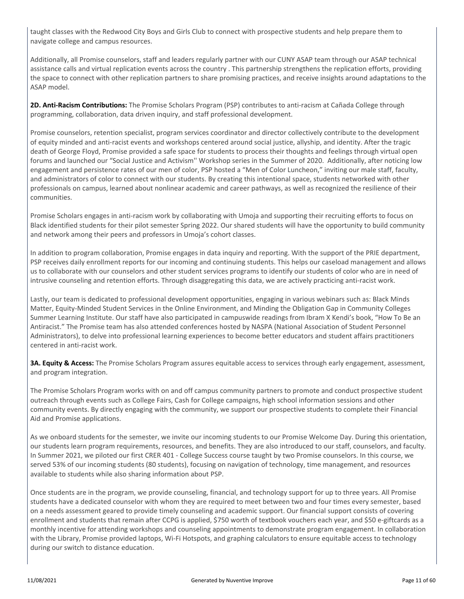taught classes with the Redwood City Boys and Girls Club to connect with prospective students and help prepare them to navigate college and campus resources.

Additionally, all Promise counselors, staff and leaders regularly partner with our CUNY ASAP team through our ASAP technical assistance calls and virtual replication events across the country . This partnership strengthens the replication efforts, providing the space to connect with other replication partners to share promising practices, and receive insights around adaptations to the ASAP model.

**2D. Anti-Racism Contributions:** The Promise Scholars Program (PSP) contributes to anti-racism at Cañada College through programming, collaboration, data driven inquiry, and staff professional development.

Promise counselors, retention specialist, program services coordinator and director collectively contribute to the development of equity minded and anti-racist events and workshops centered around social justice, allyship, and identity. After the tragic death of George Floyd, Promise provided a safe space for students to process their thoughts and feelings through virtual open forums and launched our "Social Justice and Activism'' Workshop series in the Summer of 2020. Additionally, after noticing low engagement and persistence rates of our men of color, PSP hosted a "Men of Color Luncheon," inviting our male staff, faculty, and administrators of color to connect with our students. By creating this intentional space, students networked with other professionals on campus, learned about nonlinear academic and career pathways, as well as recognized the resilience of their communities.

Promise Scholars engages in anti-racism work by collaborating with Umoja and supporting their recruiting efforts to focus on Black identified students for their pilot semester Spring 2022. Our shared students will have the opportunity to build community and network among their peers and professors in Umoja's cohort classes.

In addition to program collaboration, Promise engages in data inquiry and reporting. With the support of the PRIE department, PSP receives daily enrollment reports for our incoming and continuing students. This helps our caseload management and allows us to collaborate with our counselors and other student services programs to identify our students of color who are in need of intrusive counseling and retention efforts. Through disaggregating this data, we are actively practicing anti-racist work.

Lastly, our team is dedicated to professional development opportunities, engaging in various webinars such as: Black Minds Matter, Equity-Minded Student Services in the Online Environment, and Minding the Obligation Gap in Community Colleges Summer Learning Institute. Our staff have also participated in campuswide readings from Ibram X Kendi's book, "How To Be an Antiracist." The Promise team has also attended conferences hosted by NASPA (National Association of Student Personnel Administrators), to delve into professional learning experiences to become better educators and student affairs practitioners centered in anti-racist work.

**3A. Equity & Access:** The Promise Scholars Program assures equitable access to services through early engagement, assessment, and program integration.

The Promise Scholars Program works with on and off campus community partners to promote and conduct prospective student outreach through events such as College Fairs, Cash for College campaigns, high school information sessions and other community events. By directly engaging with the community, we support our prospective students to complete their Financial Aid and Promise applications.

As we onboard students for the semester, we invite our incoming students to our Promise Welcome Day. During this orientation, our students learn program requirements, resources, and benefits. They are also introduced to our staff, counselors, and faculty. In Summer 2021, we piloted our first CRER 401 - College Success course taught by two Promise counselors. In this course, we served 53% of our incoming students (80 students), focusing on navigation of technology, time management, and resources available to students while also sharing information about PSP.

Once students are in the program, we provide counseling, financial, and technology support for up to three years. All Promise students have a dedicated counselor with whom they are required to meet between two and four times every semester, based on a needs assessment geared to provide timely counseling and academic support. Our financial support consists of covering enrollment and students that remain after CCPG is applied, \$750 worth of textbook vouchers each year, and \$50 e-giftcards as a monthly incentive for attending workshops and counseling appointments to demonstrate program engagement. In collaboration with the Library, Promise provided laptops, Wi-Fi Hotspots, and graphing calculators to ensure equitable access to technology during our switch to distance education.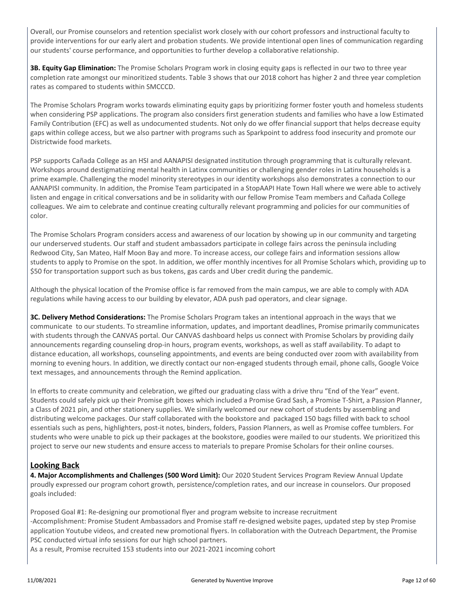Overall, our Promise counselors and retention specialist work closely with our cohort professors and instructional faculty to provide interventions for our early alert and probation students. We provide intentional open lines of communication regarding our students' course performance, and opportunities to further develop a collaborative relationship.

**3B. Equity Gap Elimination:** The Promise Scholars Program work in closing equity gaps is reflected in our two to three year completion rate amongst our minoritized students. Table 3 shows that our 2018 cohort has higher 2 and three year completion rates as compared to students within SMCCCD.

The Promise Scholars Program works towards eliminating equity gaps by prioritizing former foster youth and homeless students when considering PSP applications. The program also considers first generation students and families who have a low Estimated Family Contribution (EFC) as well as undocumented students. Not only do we offer financial support that helps decrease equity gaps within college access, but we also partner with programs such as Sparkpoint to address food insecurity and promote our Districtwide food markets.

PSP supports Cañada College as an HSI and AANAPISI designated institution through programming that is culturally relevant. Workshops around destigmatizing mental health in Latinx communities or challenging gender roles in Latinx households is a prime example. Challenging the model minority stereotypes in our identity workshops also demonstrates a connection to our AANAPISI community. In addition, the Promise Team participated in a StopAAPI Hate Town Hall where we were able to actively listen and engage in critical conversations and be in solidarity with our fellow Promise Team members and Cañada College colleagues. We aim to celebrate and continue creating culturally relevant programming and policies for our communities of color.

The Promise Scholars Program considers access and awareness of our location by showing up in our community and targeting our underserved students. Our staff and student ambassadors participate in college fairs across the peninsula including Redwood City, San Mateo, Half Moon Bay and more. To increase access, our college fairs and information sessions allow students to apply to Promise on the spot. In addition, we offer monthly incentives for all Promise Scholars which, providing up to \$50 for transportation support such as bus tokens, gas cards and Uber credit during the pandemic.

Although the physical location of the Promise office is far removed from the main campus, we are able to comply with ADA regulations while having access to our building by elevator, ADA push pad operators, and clear signage.

**3C. Delivery Method Considerations:** The Promise Scholars Program takes an intentional approach in the ways that we communicate to our students. To streamline information, updates, and important deadlines, Promise primarily communicates with students through the CANVAS portal. Our CANVAS dashboard helps us connect with Promise Scholars by providing daily announcements regarding counseling drop-in hours, program events, workshops, as well as staff availability. To adapt to distance education, all workshops, counseling appointments, and events are being conducted over zoom with availability from morning to evening hours. In addition, we directly contact our non-engaged students through email, phone calls, Google Voice text messages, and announcements through the Remind application.

In efforts to create community and celebration, we gifted our graduating class with a drive thru "End of the Year" event. Students could safely pick up their Promise gift boxes which included a Promise Grad Sash, a Promise T-Shirt, a Passion Planner, a Class of 2021 pin, and other stationery supplies. We similarly welcomed our new cohort of students by assembling and distributing welcome packages. Our staff collaborated with the bookstore and packaged 150 bags filled with back to school essentials such as pens, highlighters, post-it notes, binders, folders, Passion Planners, as well as Promise coffee tumblers. For students who were unable to pick up their packages at the bookstore, goodies were mailed to our students. We prioritized this project to serve our new students and ensure access to materials to prepare Promise Scholars for their online courses.

### **Looking Back**

**4. Major Accomplishments and Challenges (500 Word Limit):** Our 2020 Student Services Program Review Annual Update proudly expressed our program cohort growth, persistence/completion rates, and our increase in counselors. Our proposed goals included:

Proposed Goal #1: Re-designing our promotional flyer and program website to increase recruitment -Accomplishment: Promise Student Ambassadors and Promise staff re-designed website pages, updated step by step Promise application Youtube videos, and created new promotional flyers. In collaboration with the Outreach Department, the Promise PSC conducted virtual info sessions for our high school partners.

As a result, Promise recruited 153 students into our 2021-2021 incoming cohort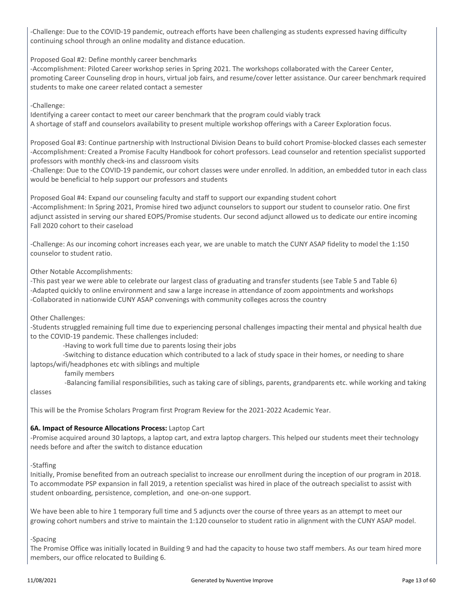-Challenge: Due to the COVID-19 pandemic, outreach efforts have been challenging as students expressed having difficulty continuing school through an online modality and distance education.

Proposed Goal #2: Define monthly career benchmarks

-Accomplishment: Piloted Career workshop series in Spring 2021. The workshops collaborated with the Career Center, promoting Career Counseling drop in hours, virtual job fairs, and resume/cover letter assistance. Our career benchmark required students to make one career related contact a semester

### -Challenge:

Identifying a career contact to meet our career benchmark that the program could viably track A shortage of staff and counselors availability to present multiple workshop offerings with a Career Exploration focus.

Proposed Goal #3: Continue partnership with Instructional Division Deans to build cohort Promise-blocked classes each semester -Accomplishment: Created a Promise Faculty Handbook for cohort professors. Lead counselor and retention specialist supported professors with monthly check-ins and classroom visits

-Challenge: Due to the COVID-19 pandemic, our cohort classes were under enrolled. In addition, an embedded tutor in each class would be beneficial to help support our professors and students

Proposed Goal #4: Expand our counseling faculty and staff to support our expanding student cohort -Accomplishment: In Spring 2021, Promise hired two adjunct counselors to support our student to counselor ratio. One first adjunct assisted in serving our shared EOPS/Promise students. Our second adjunct allowed us to dedicate our entire incoming Fall 2020 cohort to their caseload

-Challenge: As our incoming cohort increases each year, we are unable to match the CUNY ASAP fidelity to model the 1:150 counselor to student ratio.

Other Notable Accomplishments:

-This past year we were able to celebrate our largest class of graduating and transfer students (see Table 5 and Table 6) -Adapted quickly to online environment and saw a large increase in attendance of zoom appointments and workshops -Collaborated in nationwide CUNY ASAP convenings with community colleges across the country

Other Challenges:

-Students struggled remaining full time due to experiencing personal challenges impacting their mental and physical health due to the COVID-19 pandemic. These challenges included:

-Having to work full time due to parents losing their jobs

 -Switching to distance education which contributed to a lack of study space in their homes, or needing to share laptops/wifi/headphones etc with siblings and multiple

family members

 -Balancing familial responsibilities, such as taking care of siblings, parents, grandparents etc. while working and taking classes

This will be the Promise Scholars Program first Program Review for the 2021-2022 Academic Year.

### **6A. Impact of Resource Allocations Process:** Laptop Cart

-Promise acquired around 30 laptops, a laptop cart, and extra laptop chargers. This helped our students meet their technology needs before and after the switch to distance education

### -Staffing

Initially, Promise benefited from an outreach specialist to increase our enrollment during the inception of our program in 2018. To accommodate PSP expansion in fall 2019, a retention specialist was hired in place of the outreach specialist to assist with student onboarding, persistence, completion, and one-on-one support.

We have been able to hire 1 temporary full time and 5 adjuncts over the course of three years as an attempt to meet our growing cohort numbers and strive to maintain the 1:120 counselor to student ratio in alignment with the CUNY ASAP model.

### -Spacing

The Promise Office was initially located in Building 9 and had the capacity to house two staff members. As our team hired more members, our office relocated to Building 6.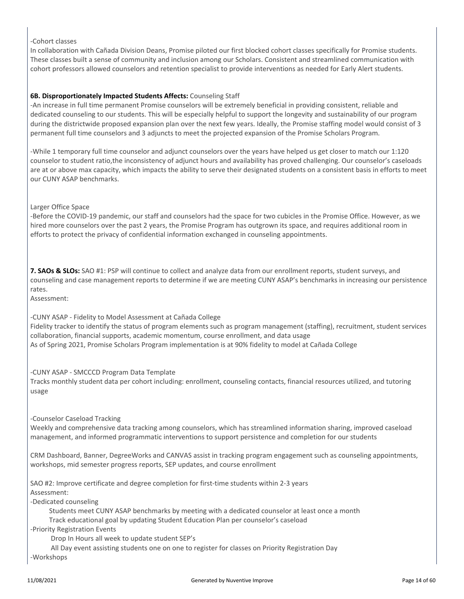### -Cohort classes

In collaboration with Cañada Division Deans, Promise piloted our first blocked cohort classes specifically for Promise students. These classes built a sense of community and inclusion among our Scholars. Consistent and streamlined communication with cohort professors allowed counselors and retention specialist to provide interventions as needed for Early Alert students.

### **6B. Disproportionately Impacted Students Affects:** Counseling Staff

-An increase in full time permanent Promise counselors will be extremely beneficial in providing consistent, reliable and dedicated counseling to our students. This will be especially helpful to support the longevity and sustainability of our program during the districtwide proposed expansion plan over the next few years. Ideally, the Promise staffing model would consist of 3 permanent full time counselors and 3 adjuncts to meet the projected expansion of the Promise Scholars Program.

-While 1 temporary full time counselor and adjunct counselors over the years have helped us get closer to match our 1:120 counselor to student ratio,the inconsistency of adjunct hours and availability has proved challenging. Our counselor's caseloads are at or above max capacity, which impacts the ability to serve their designated students on a consistent basis in efforts to meet our CUNY ASAP benchmarks.

### Larger Office Space

-Before the COVID-19 pandemic, our staff and counselors had the space for two cubicles in the Promise Office. However, as we hired more counselors over the past 2 years, the Promise Program has outgrown its space, and requires additional room in efforts to protect the privacy of confidential information exchanged in counseling appointments.

**7. SAOs & SLOs:** SAO #1: PSP will continue to collect and analyze data from our enrollment reports, student surveys, and counseling and case management reports to determine if we are meeting CUNY ASAP's benchmarks in increasing our persistence rates.

Assessment:

### -CUNY ASAP - Fidelity to Model Assessment at Cañada College

Fidelity tracker to identify the status of program elements such as program management (staffing), recruitment, student services collaboration, financial supports, academic momentum, course enrollment, and data usage As of Spring 2021, Promise Scholars Program implementation is at 90% fidelity to model at Cañada College

-CUNY ASAP - SMCCCD Program Data Template

Tracks monthly student data per cohort including: enrollment, counseling contacts, financial resources utilized, and tutoring usage

### -Counselor Caseload Tracking

Weekly and comprehensive data tracking among counselors, which has streamlined information sharing, improved caseload management, and informed programmatic interventions to support persistence and completion for our students

CRM Dashboard, Banner, DegreeWorks and CANVAS assist in tracking program engagement such as counseling appointments, workshops, mid semester progress reports, SEP updates, and course enrollment

SAO #2: Improve certificate and degree completion for first-time students within 2-3 years Assessment:

-Dedicated counseling

Students meet CUNY ASAP benchmarks by meeting with a dedicated counselor at least once a month

Track educational goal by updating Student Education Plan per counselor's caseload

-Priority Registration Events

Drop In Hours all week to update student SEP's

 All Day event assisting students one on one to register for classes on Priority Registration Day -Workshops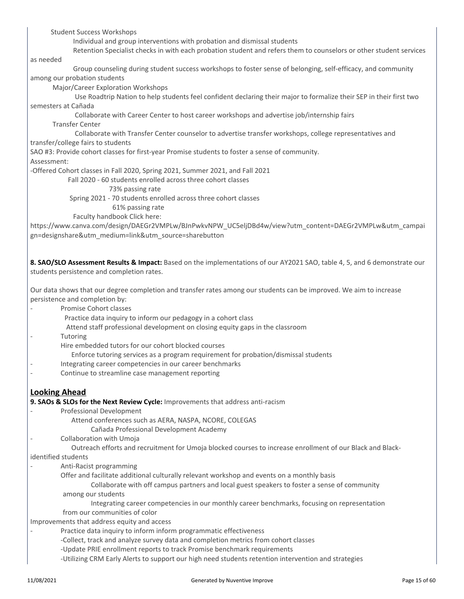Student Success Workshops Individual and group interventions with probation and dismissal students Retention Specialist checks in with each probation student and refers them to counselors or other student services as needed Group counseling during student success workshops to foster sense of belonging, self-efficacy, and community among our probation students Major/Career Exploration Workshops Use Roadtrip Nation to help students feel confident declaring their major to formalize their SEP in their first two semesters at Cañada Collaborate with Career Center to host career workshops and advertise job/internship fairs Transfer Center Collaborate with Transfer Center counselor to advertise transfer workshops, college representatives and transfer/college fairs to students SAO #3: Provide cohort classes for first-year Promise students to foster a sense of community. Assessment: -Offered Cohort classes in Fall 2020, Spring 2021, Summer 2021, and Fall 2021 Fall 2020 - 60 students enrolled across three cohort classes 73% passing rate Spring 2021 - 70 students enrolled across three cohort classes 61% passing rate Faculty handbook Click here: https://www.canva.com/design/DAEGr2VMPLw/BJnPwkvNPW\_UC5eljDBd4w/view?utm\_content=DAEGr2VMPLw&utm\_campai gn=designshare&utm\_medium=link&utm\_source=sharebutton **8. SAO/SLO Assessment Results & Impact:** Based on the implementations of our AY2021 SAO, table 4, 5, and 6 demonstrate our students persistence and completion rates. Our data shows that our degree completion and transfer rates among our students can be improved. We aim to increase persistence and completion by: Promise Cohort classes Practice data inquiry to inform our pedagogy in a cohort class Attend staff professional development on closing equity gaps in the classroom **Tutoring** Hire embedded tutors for our cohort blocked courses Enforce tutoring services as a program requirement for probation/dismissal students Integrating career competencies in our career benchmarks Continue to streamline case management reporting **Looking Ahead 9. SAOs & SLOs for the Next Review Cycle:** Improvements that address anti-racism Professional Development Attend conferences such as AERA, NASPA, NCORE, COLEGAS Cañada Professional Development Academy Collaboration with Umoja Outreach efforts and recruitment for Umoja blocked courses to increase enrollment of our Black and Blackidentified students - Anti-Racist programming Offer and facilitate additional culturally relevant workshop and events on a monthly basis Collaborate with off campus partners and local guest speakers to foster a sense of community among our students Integrating career competencies in our monthly career benchmarks, focusing on representation from our communities of color

Improvements that address equity and access

Practice data inquiry to inform inform programmatic effectiveness

-Collect, track and analyze survey data and completion metrics from cohort classes

-Update PRIE enrollment reports to track Promise benchmark requirements

-Utilizing CRM Early Alerts to support our high need students retention intervention and strategies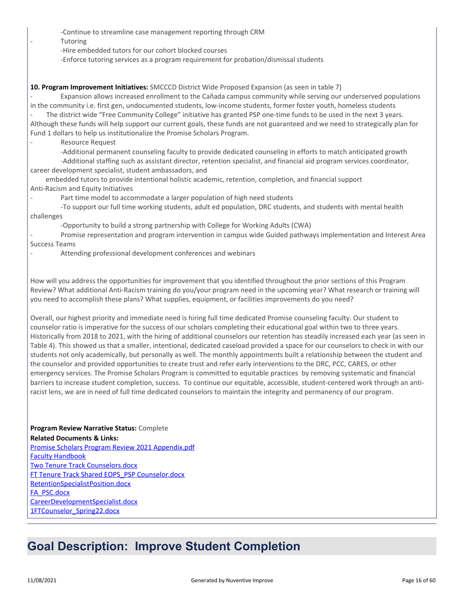- -Continue to streamline case management reporting through CRM
- **Tutoring** 
	- -Hire embedded tutors for our cohort blocked courses
	- -Enforce tutoring services as a program requirement for probation/dismissal students

### **10. Program Improvement Initiatives:** SMCCCD District Wide Proposed Expansion (as seen in table 7)

Expansion allows increased enrollment to the Cañada campus community while serving our underserved populations in the community i.e. first gen, undocumented students, low-income students, former foster youth, homeless students

The district wide "Free Community College" initiative has granted PSP one-time funds to be used in the next 3 years. Although these funds will help support our current goals, these funds are not guaranteed and we need to strategically plan for Fund 1 dollars to help us institutionalize the Promise Scholars Program.

Resource Request

-Additional permanent counseling faculty to provide dedicated counseling in efforts to match anticipated growth

-Additional staffing such as assistant director, retention specialist, and financial aid program services coordinator, career development specialist, student ambassadors, and

 embedded tutors to provide intentional holistic academic, retention, completion, and financial support Anti-Racism and Equity Initiatives

Part time model to accommodate a larger population of high need students

-To support our full time working students, adult ed population, DRC students, and students with mental health challenges

-Opportunity to build a strong partnership with College for Working Adults (CWA)

- Promise representation and program intervention in campus wide Guided pathways implementation and Interest Area Success Teams

Attending professional development conferences and webinars

How will you address the opportunities for improvement that you identified throughout the prior sections of this Program Review? What additional Anti-Racism training do you/your program need in the upcoming year? What research or training will you need to accomplish these plans? What supplies, equipment, or facilities improvements do you need?

Overall, our highest priority and immediate need is hiring full time dedicated Promise counseling faculty. Our student to counselor ratio is imperative for the success of our scholars completing their educational goal within two to three years. Historically from 2018 to 2021, with the hiring of additional counselors our retention has steadily increased each year (as seen in Table 4). This showed us that a smaller, intentional, dedicated caseload provided a space for our counselors to check in with our students not only academically, but personally as well. The monthly appointments built a relationship between the student and the counselor and provided opportunities to create trust and refer early interventions to the DRC, PCC, CARES, or other emergency services. The Promise Scholars Program is committed to equitable practices by removing systematic and financial barriers to increase student completion, success. To continue our equitable, accessible, student-centered work through an antiracist lens, we are in need of full time dedicated counselors to maintain the integrity and permanency of our program.

**Program Review Narrative Status:** Complete **Related Documents & Links:** [Promise Scholars Program Review 2021 Appendix.pdf](https://sanmateo.improve.nuventive.com:443/tracdat/viewDocument?y=jqrxu4ARx5gg) [Faculty Handbook](https://sanmateo.improve.nuventive.com:443/tracdat/viewDocument?y=XmHOw6UIyBOJ) [Two Tenure Track Counselors.docx](https://sanmateo.improve.nuventive.com:443/tracdat/viewDocument?y=JPC45X59hRW5) [FT Tenure Track Shared EOPS\\_PSP Counselor.docx](https://sanmateo.improve.nuventive.com:443/tracdat/viewDocument?y=UC65Bqdb4h6L) [RetentionSpecialistPosition.docx](https://sanmateo.improve.nuventive.com:443/tracdat/viewDocument?y=OXXd8fgjqaZl) [FA\\_PSC.docx](https://sanmateo.improve.nuventive.com:443/tracdat/viewDocument?y=bKNldMxe1l7O) [CareerDevelopmentSpecialist.docx](https://sanmateo.improve.nuventive.com:443/tracdat/viewDocument?y=gHLrTfQqEGRQ) [1FTCounselor\\_Spring22.docx](https://sanmateo.improve.nuventive.com:443/tracdat/viewDocument?y=dSnlu59FIzuH)

### **Goal Description: Improve Student Completion**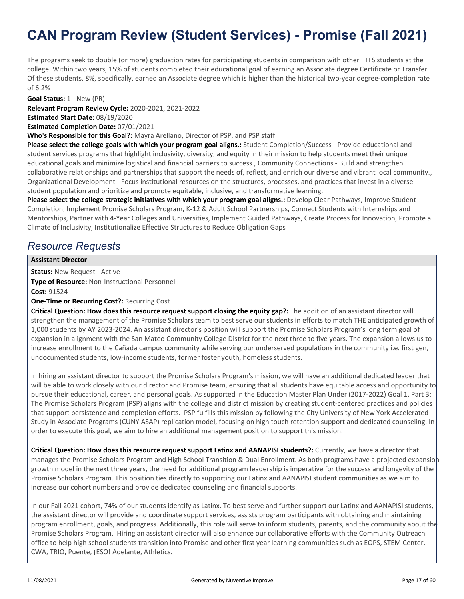The programs seek to double (or more) graduation rates for participating students in comparison with other FTFS students at the college. Within two years, 15% of students completed their educational goal of earning an Associate degree Certificate or Transfer. Of these students, 8%, specifically, earned an Associate degree which is higher than the historical two-year degree-completion rate of 6.2%

**Goal Status:** 1 - New (PR)

**Relevant Program Review Cycle:** 2020-2021, 2021-2022 **Estimated Start Date:** 08/19/2020

**Estimated Completion Date:** 07/01/2021

**Who's Responsible for this Goal?:** Mayra Arellano, Director of PSP, and PSP staff

**Please select the college goals with which your program goal aligns.:** Student Completion/Success - Provide educational and student services programs that highlight inclusivity, diversity, and equity in their mission to help students meet their unique educational goals and minimize logistical and financial barriers to success., Community Connections - Build and strengthen collaborative relationships and partnerships that support the needs of, reflect, and enrich our diverse and vibrant local community., Organizational Development - Focus institutional resources on the structures, processes, and practices that invest in a diverse student population and prioritize and promote equitable, inclusive, and transformative learning.

Please select the college strategic initiatives with which your program goal aligns.: Develop Clear Pathways, Improve Student Completion, Implement Promise Scholars Program, K-12 & Adult School Partnerships, Connect Students with Internships and Mentorships, Partner with 4-Year Colleges and Universities, Implement Guided Pathways, Create Process for Innovation, Promote a Climate of Inclusivity, Institutionalize Effective Structures to Reduce Obligation Gaps

### *Resource Requests*

### **Assistant Director**

**Status:** New Request - Active **Type of Resource:** Non-Instructional Personnel

**Cost:** 91524

### **One-Time or Recurring Cost?:** Recurring Cost

**Critical Question: How does this resource request support closing the equity gap?:** The addition of an assistant director will strengthen the management of the Promise Scholars team to best serve our students in efforts to match THE anticipated growth of 1,000 students by AY 2023-2024. An assistant director's position will support the Promise Scholars Program's long term goal of expansion in alignment with the San Mateo Community College District for the next three to five years. The expansion allows us to increase enrollment to the Cañada campus community while serving our underserved populations in the community i.e. first gen, undocumented students, low-income students, former foster youth, homeless students.

In hiring an assistant director to support the Promise Scholars Program's mission, we will have an additional dedicated leader that will be able to work closely with our director and Promise team, ensuring that all students have equitable access and opportunity to pursue their educational, career, and personal goals. As supported in the Education Master Plan Under (2017-2022) Goal 1, Part 3: The Promise Scholars Program (PSP) aligns with the college and district mission by creating student-centered practices and policies that support persistence and completion efforts. PSP fulfills this mission by following the City University of New York Accelerated Study in Associate Programs (CUNY ASAP) replication model, focusing on high touch retention support and dedicated counseling. In order to execute this goal, we aim to hire an additional management position to support this mission.

**Critical Question: How does this resource request support Latinx and AANAPISI students?:** Currently, we have a director that manages the Promise Scholars Program and High School Transition & Dual Enrollment. As both programs have a projected expansion growth model in the next three years, the need for additional program leadership is imperative for the success and longevity of the Promise Scholars Program. This position ties directly to supporting our Latinx and AANAPISI student communities as we aim to increase our cohort numbers and provide dedicated counseling and financial supports.

In our Fall 2021 cohort, 74% of our students identify as Latinx. To best serve and further support our Latinx and AANAPISI students, the assistant director will provide and coordinate support services, assists program participants with obtaining and maintaining program enrollment, goals, and progress. Additionally, this role will serve to inform students, parents, and the community about the Promise Scholars Program. Hiring an assistant director will also enhance our collaborative efforts with the Community Outreach office to help high school students transition into Promise and other first year learning communities such as EOPS, STEM Center, CWA, TRIO, Puente, ¡ESO! Adelante, Athletics.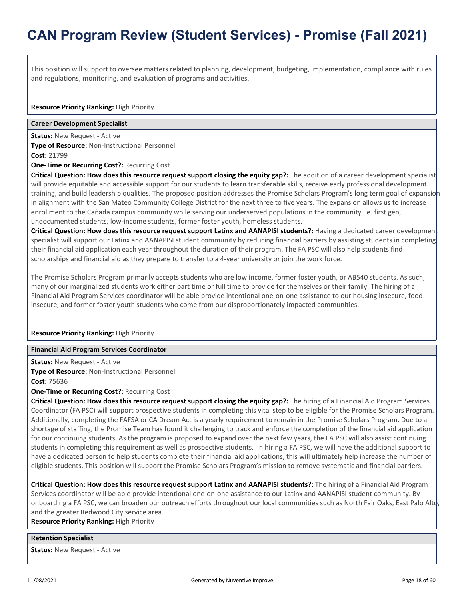This position will support to oversee matters related to planning, development, budgeting, implementation, compliance with rules and regulations, monitoring, and evaluation of programs and activities.

#### **Resource Priority Ranking:** High Priority

### **Career Development Specialist**

**Status:** New Request - Active **Type of Resource:** Non-Instructional Personnel **Cost:** 21799

**One-Time or Recurring Cost?:** Recurring Cost

**Critical Question: How does this resource request support closing the equity gap?:** The addition of a career development specialist will provide equitable and accessible support for our students to learn transferable skills, receive early professional development training, and build leadership qualities. The proposed position addresses the Promise Scholars Program's long term goal of expansion in alignment with the San Mateo Community College District for the next three to five years. The expansion allows us to increase enrollment to the Cañada campus community while serving our underserved populations in the community i.e. first gen, undocumented students, low-income students, former foster youth, homeless students.

**Critical Question: How does this resource request support Latinx and AANAPISI students?:** Having a dedicated career development specialist will support our Latinx and AANAPISI student community by reducing financial barriers by assisting students in completing their financial aid application each year throughout the duration of their program. The FA PSC will also help students find scholarships and financial aid as they prepare to transfer to a 4-year university or join the work force.

The Promise Scholars Program primarily accepts students who are low income, former foster youth, or AB540 students. As such, many of our marginalized students work either part time or full time to provide for themselves or their family. The hiring of a Financial Aid Program Services coordinator will be able provide intentional one-on-one assistance to our housing insecure, food insecure, and former foster youth students who come from our disproportionately impacted communities.

### **Resource Priority Ranking:** High Priority

#### **Financial Aid Program Services Coordinator**

**Status:** New Request - Active **Type of Resource:** Non-Instructional Personnel **Cost:** 75636

**One-Time or Recurring Cost?:** Recurring Cost

**Critical Question: How does this resource request support closing the equity gap?:** The hiring of a Financial Aid Program Services Coordinator (FA PSC) will support prospective students in completing this vital step to be eligible for the Promise Scholars Program. Additionally, completing the FAFSA or CA Dream Act is a yearly requirement to remain in the Promise Scholars Program. Due to a shortage of staffing, the Promise Team has found it challenging to track and enforce the completion of the financial aid application for our continuing students. As the program is proposed to expand over the next few years, the FA PSC will also assist continuing students in completing this requirement as well as prospective students. In hiring a FA PSC, we will have the additional support to have a dedicated person to help students complete their financial aid applications, this will ultimately help increase the number of eligible students. This position will support the Promise Scholars Program's mission to remove systematic and financial barriers.

**Critical Question: How does this resource request support Latinx and AANAPISI students?:** The hiring of a Financial Aid Program Services coordinator will be able provide intentional one-on-one assistance to our Latinx and AANAPISI student community. By onboarding a FA PSC, we can broaden our outreach efforts throughout our local communities such as North Fair Oaks, East Palo Alto, and the greater Redwood City service area.

**Resource Priority Ranking:** High Priority

#### **Retention Specialist**

**Status:** New Request - Active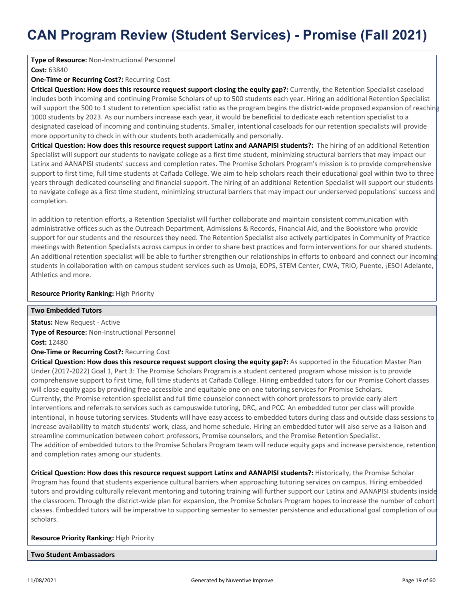### **Type of Resource:** Non-Instructional Personnel

**Cost:** 63840

### **One-Time or Recurring Cost?:** Recurring Cost

**Critical Question: How does this resource request support closing the equity gap?:** Currently, the Retention Specialist caseload includes both incoming and continuing Promise Scholars of up to 500 students each year. Hiring an additional Retention Specialist will support the 500 to 1 student to retention specialist ratio as the program begins the district-wide proposed expansion of reaching 1000 students by 2023. As our numbers increase each year, it would be beneficial to dedicate each retention specialist to a designated caseload of incoming and continuing students. Smaller, intentional caseloads for our retention specialists will provide more opportunity to check in with our students both academically and personally.

**Critical Question: How does this resource request support Latinx and AANAPISI students?:** The hiring of an additional Retention Specialist will support our students to navigate college as a first time student, minimizing structural barriers that may impact our Latinx and AANAPISI students' success and completion rates. The Promise Scholars Program's mission is to provide comprehensive support to first time, full time students at Cañada College. We aim to help scholars reach their educational goal within two to three years through dedicated counseling and financial support. The hiring of an additional Retention Specialist will support our students to navigate college as a first time student, minimizing structural barriers that may impact our underserved populations' success and completion.

In addition to retention efforts, a Retention Specialist will further collaborate and maintain consistent communication with administrative offices such as the Outreach Department, Admissions & Records, Financial Aid, and the Bookstore who provide support for our students and the resources they need. The Retention Specialist also actively participates in Community of Practice meetings with Retention Specialists across campus in order to share best practices and form interventions for our shared students. An additional retention specialist will be able to further strengthen our relationships in efforts to onboard and connect our incoming students in collaboration with on campus student services such as Umoja, EOPS, STEM Center, CWA, TRIO, Puente, ¡ESO! Adelante, Athletics and more.

### **Resource Priority Ranking:** High Priority

### **Two Embedded Tutors**

**Status:** New Request - Active **Type of Resource:** Non-Instructional Personnel **Cost:** 12480 **One-Time or Recurring Cost?:** Recurring Cost

**Critical Question: How does this resource request support closing the equity gap?:** As supported in the Education Master Plan Under (2017-2022) Goal 1, Part 3: The Promise Scholars Program is a student centered program whose mission is to provide comprehensive support to first time, full time students at Cañada College. Hiring embedded tutors for our Promise Cohort classes will close equity gaps by providing free accessible and equitable one on one tutoring services for Promise Scholars. Currently, the Promise retention specialist and full time counselor connect with cohort professors to provide early alert interventions and referrals to services such as campuswide tutoring, DRC, and PCC. An embedded tutor per class will provide intentional, in house tutoring services. Students will have easy access to embedded tutors during class and outside class sessions to increase availability to match students' work, class, and home schedule. Hiring an embedded tutor will also serve as a liaison and streamline communication between cohort professors, Promise counselors, and the Promise Retention Specialist. The addition of embedded tutors to the Promise Scholars Program team will reduce equity gaps and increase persistence, retention, and completion rates among our students.

**Critical Question: How does this resource request support Latinx and AANAPISI students?:** Historically, the Promise Scholar Program has found that students experience cultural barriers when approaching tutoring services on campus. Hiring embedded tutors and providing culturally relevant mentoring and tutoring training will further support our Latinx and AANAPISI students inside the classroom. Through the district-wide plan for expansion, the Promise Scholars Program hopes to increase the number of cohort classes. Embedded tutors will be imperative to supporting semester to semester persistence and educational goal completion of our scholars.

**Resource Priority Ranking:** High Priority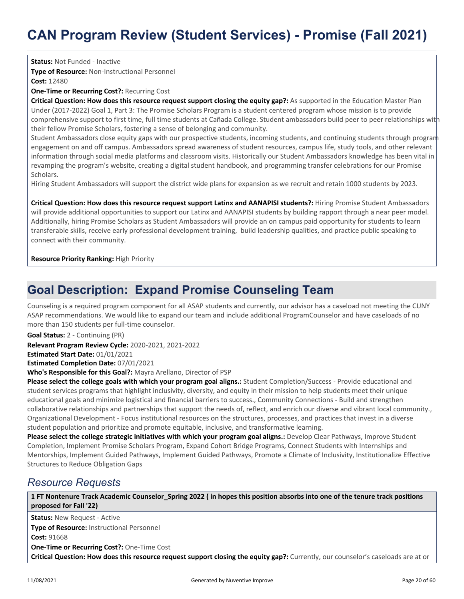**Status:** Not Funded - Inactive **Type of Resource:** Non-Instructional Personnel **Cost:** 12480

**One-Time or Recurring Cost?:** Recurring Cost

**Critical Question: How does this resource request support closing the equity gap?:** As supported in the Education Master Plan Under (2017-2022) Goal 1, Part 3: The Promise Scholars Program is a student centered program whose mission is to provide comprehensive support to first time, full time students at Cañada College. Student ambassadors build peer to peer relationships with their fellow Promise Scholars, fostering a sense of belonging and community.

Student Ambassadors close equity gaps with our prospective students, incoming students, and continuing students through program engagement on and off campus. Ambassadors spread awareness of student resources, campus life, study tools, and other relevant information through social media platforms and classroom visits. Historically our Student Ambassadors knowledge has been vital in revamping the program's website, creating a digital student handbook, and programming transfer celebrations for our Promise Scholars.

Hiring Student Ambassadors will support the district wide plans for expansion as we recruit and retain 1000 students by 2023.

**Critical Question: How does this resource request support Latinx and AANAPISI students?:** Hiring Promise Student Ambassadors will provide additional opportunities to support our Latinx and AANAPISI students by building rapport through a near peer model. Additionally, hiring Promise Scholars as Student Ambassadors will provide an on campus paid opportunity for students to learn transferable skills, receive early professional development training, build leadership qualities, and practice public speaking to connect with their community.

### **Resource Priority Ranking:** High Priority

### **Goal Description: Expand Promise Counseling Team**

Counseling is a required program component for all ASAP students and currently, our advisor has a caseload not meeting the CUNY ASAP recommendations. We would like to expand our team and include additional ProgramCounselor and have caseloads of no more than 150 students per full-time counselor.

**Goal Status:** 2 - Continuing (PR)

**Relevant Program Review Cycle:** 2020-2021, 2021-2022

**Estimated Start Date:** 01/01/2021

**Estimated Completion Date:** 07/01/2021

**Who's Responsible for this Goal?:** Mayra Arellano, Director of PSP

**Please select the college goals with which your program goal aligns.:** Student Completion/Success - Provide educational and student services programs that highlight inclusivity, diversity, and equity in their mission to help students meet their unique educational goals and minimize logistical and financial barriers to success., Community Connections - Build and strengthen collaborative relationships and partnerships that support the needs of, reflect, and enrich our diverse and vibrant local community., Organizational Development - Focus institutional resources on the structures, processes, and practices that invest in a diverse student population and prioritize and promote equitable, inclusive, and transformative learning.

Please select the college strategic initiatives with which your program goal aligns.: Develop Clear Pathways, Improve Student Completion, Implement Promise Scholars Program, Expand Cohort Bridge Programs, Connect Students with Internships and Mentorships, Implement Guided Pathways, Implement Guided Pathways, Promote a Climate of Inclusivity, Institutionalize Effective Structures to Reduce Obligation Gaps

### *Resource Requests*

**1 FT Nontenure Track Academic Counselor\_Spring 2022 ( in hopes this position absorbs into one of the tenure track positions proposed for Fall '22)**

**Status:** New Request - Active **Type of Resource:** Instructional Personnel **Cost:** 91668 **One-Time or Recurring Cost?:** One-Time Cost **Critical Question: How does this resource request support closing the equity gap?:** Currently, our counselor's caseloads are at or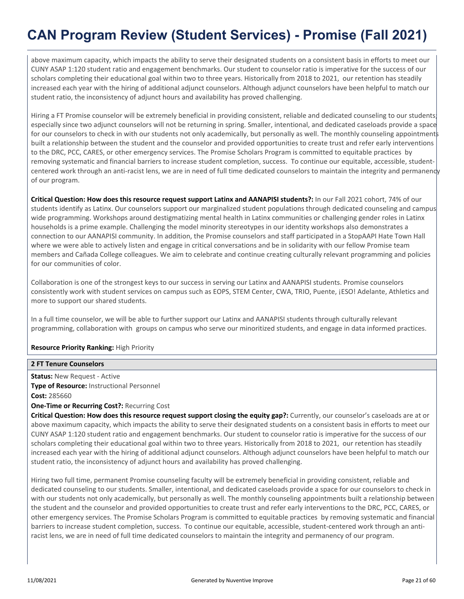above maximum capacity, which impacts the ability to serve their designated students on a consistent basis in efforts to meet our CUNY ASAP 1:120 student ratio and engagement benchmarks. Our student to counselor ratio is imperative for the success of our scholars completing their educational goal within two to three years. Historically from 2018 to 2021, our retention has steadily increased each year with the hiring of additional adjunct counselors. Although adjunct counselors have been helpful to match our student ratio, the inconsistency of adjunct hours and availability has proved challenging.

Hiring a FT Promise counselor will be extremely beneficial in providing consistent, reliable and dedicated counseling to our students; especially since two adjunct counselors will not be returning in spring. Smaller, intentional, and dedicated caseloads provide a space for our counselors to check in with our students not only academically, but personally as well. The monthly counseling appointments built a relationship between the student and the counselor and provided opportunities to create trust and refer early interventions to the DRC, PCC, CARES, or other emergency services. The Promise Scholars Program is committed to equitable practices by removing systematic and financial barriers to increase student completion, success. To continue our equitable, accessible, studentcentered work through an anti-racist lens, we are in need of full time dedicated counselors to maintain the integrity and permanency of our program.

**Critical Question: How does this resource request support Latinx and AANAPISI students?:** In our Fall 2021 cohort, 74% of our students identify as Latinx. Our counselors support our marginalized student populations through dedicated counseling and campus wide programming. Workshops around destigmatizing mental health in Latinx communities or challenging gender roles in Latinx households is a prime example. Challenging the model minority stereotypes in our identity workshops also demonstrates a connection to our AANAPISI community. In addition, the Promise counselors and staff participated in a StopAAPI Hate Town Hall where we were able to actively listen and engage in critical conversations and be in solidarity with our fellow Promise team members and Cañada College colleagues. We aim to celebrate and continue creating culturally relevant programming and policies for our communities of color.

Collaboration is one of the strongest keys to our success in serving our Latinx and AANAPISI students. Promise counselors consistently work with student services on campus such as EOPS, STEM Center, CWA, TRIO, Puente, ¡ESO! Adelante, Athletics and more to support our shared students.

In a full time counselor, we will be able to further support our Latinx and AANAPISI students through culturally relevant programming, collaboration with groups on campus who serve our minoritized students, and engage in data informed practices.

### **Resource Priority Ranking:** High Priority

### **2 FT Tenure Counselors**

**Status:** New Request - Active **Type of Resource:** Instructional Personnel **Cost:** 285660

### **One-Time or Recurring Cost?:** Recurring Cost

**Critical Question: How does this resource request support closing the equity gap?:** Currently, our counselor's caseloads are at or above maximum capacity, which impacts the ability to serve their designated students on a consistent basis in efforts to meet our CUNY ASAP 1:120 student ratio and engagement benchmarks. Our student to counselor ratio is imperative for the success of our scholars completing their educational goal within two to three years. Historically from 2018 to 2021, our retention has steadily increased each year with the hiring of additional adjunct counselors. Although adjunct counselors have been helpful to match our student ratio, the inconsistency of adjunct hours and availability has proved challenging.

Hiring two full time, permanent Promise counseling faculty will be extremely beneficial in providing consistent, reliable and dedicated counseling to our students. Smaller, intentional, and dedicated caseloads provide a space for our counselors to check in with our students not only academically, but personally as well. The monthly counseling appointments built a relationship between the student and the counselor and provided opportunities to create trust and refer early interventions to the DRC, PCC, CARES, or other emergency services. The Promise Scholars Program is committed to equitable practices by removing systematic and financial barriers to increase student completion, success. To continue our equitable, accessible, student-centered work through an antiracist lens, we are in need of full time dedicated counselors to maintain the integrity and permanency of our program.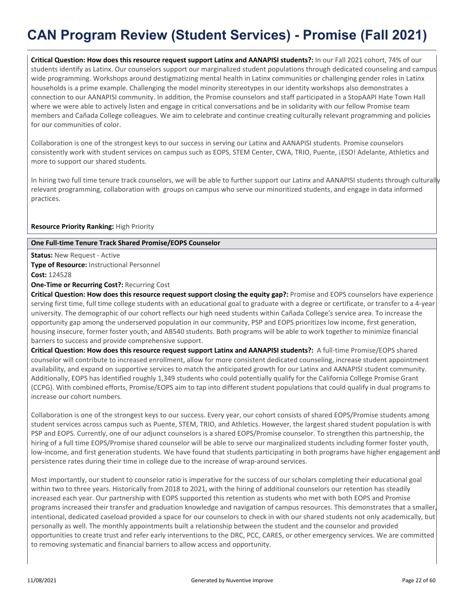**Critical Question: How does this resource request support Latinx and AANAPISI students?:** In our Fall 2021 cohort, 74% of our students identify as Latinx. Our counselors support our marginalized student populations through dedicated counseling and campus wide programming. Workshops around destigmatizing mental health in Latinx communities or challenging gender roles in Latinx households is a prime example. Challenging the model minority stereotypes in our identity workshops also demonstrates a connection to our AANAPISI community. In addition, the Promise counselors and staff participated in a StopAAPI Hate Town Hall where we were able to actively listen and engage in critical conversations and be in solidarity with our fellow Promise team members and Cañada College colleagues. We aim to celebrate and continue creating culturally relevant programming and policies for our communities of color.

Collaboration is one of the strongest keys to our success in serving our Latinx and AANAPISI students. Promise counselors consistently work with student services on campus such as EOPS, STEM Center, CWA, TRIO, Puente, ¡ESO! Adelante, Athletics and more to support our shared students.

In hiring two full time tenure track counselors, we will be able to further support our Latinx and AANAPISI students through culturally relevant programming, collaboration with groups on campus who serve our minoritized students, and engage in data informed practices.

### **Resource Priority Ranking:** High Priority

### **One Full-time Tenure Track Shared Promise/EOPS Counselor**

**Status:** New Request - Active **Type of Resource:** Instructional Personnel **Cost:** 124528

**One-Time or Recurring Cost?:** Recurring Cost

**Critical Question: How does this resource request support closing the equity gap?:** Promise and EOPS counselors have experience serving first time, full time college students with an educational goal to graduate with a degree or certificate, or transfer to a 4-year university. The demographic of our cohort reflects our high need students within Cañada College's service area. To increase the opportunity gap among the underserved population in our community, PSP and EOPS prioritizes low income, first generation, housing insecure, former foster youth, and AB540 students. Both programs will be able to work together to minimize financial barriers to success and provide comprehensive support.

**Critical Question: How does this resource request support Latinx and AANAPISI students?:** A full-time Promise/EOPS shared counselor will contribute to increased enrollment, allow for more consistent dedicated counseling, increase student appointment availability, and expand on supportive services to match the anticipated growth for our Latinx and AANAPISI student community. Additionally, EOPS has identified roughly 1,349 students who could potentially qualify for the California College Promise Grant (CCPG). With combined efforts, Promise/EOPS aim to tap into different student populations that could qualify in dual programs to increase our cohort numbers.

Collaboration is one of the strongest keys to our success. Every year, our cohort consists of shared EOPS/Promise students among student services across campus such as Puente, STEM, TRIO, and Athletics. However, the largest shared student population is with PSP and EOPS. Currently, one of our adjunct counselors is a shared EOPS/Promise counselor. To strengthen this partnership, the hiring of a full time EOPS/Promise shared counselor will be able to serve our marginalized students including former foster youth, low-income, and first generation students. We have found that students participating in both programs have higher engagement and persistence rates during their time in college due to the increase of wrap-around services.

Most importantly, our student to counselor ratio is imperative for the success of our scholars completing their educational goal within two to three years. Historically from 2018 to 2021, with the hiring of additional counselors our retention has steadily increased each year. Our partnership with EOPS supported this retention as students who met with both EOPS and Promise programs increased their transfer and graduation knowledge and navigation of campus resources. This demonstrates that a smaller, intentional, dedicated caseload provided a space for our counselors to check in with our shared students not only academically, but personally as well. The monthly appointments built a relationship between the student and the counselor and provided opportunities to create trust and refer early interventions to the DRC, PCC, CARES, or other emergency services. We are committed to removing systematic and financial barriers to allow access and opportunity.